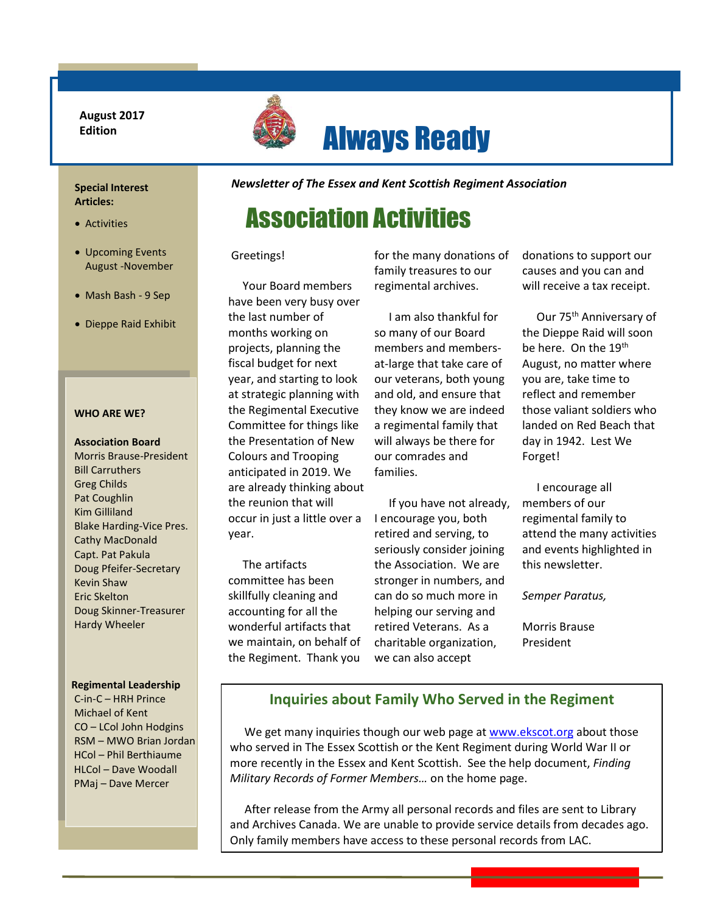**August 2017 Edition**



# Always Ready

### **Special Interest Articles:**

- Activities
- Upcoming Events August -November
- Mash Bash 9 Sep
- Dieppe Raid Exhibit

### **WHO ARE WE?**

### **Association Board**

Morris Brause-President Bill Carruthers Greg Childs Pat Coughlin Kim Gilliland Blake Harding-Vice Pres. Cathy MacDonald Capt. Pat Pakula Doug Pfeifer-Secretary Kevin Shaw Eric Skelton Doug Skinner-Treasurer Hardy Wheeler

### **Regimental Leadership**

C-in-C – HRH Prince Michael of Kent CO – LCol John Hodgins RSM – MWO Brian Jordan HCol – Phil Berthiaume HLCol – Dave Woodall PMaj – Dave Mercer

*Newsletter of The Essex and Kent Scottish Regiment Association*

# Association Activities

Greetings!

 Your Board members have been very busy over the last number of months working on projects, planning the fiscal budget for next year, and starting to look at strategic planning with the Regimental Executive Committee for things like the Presentation of New Colours and Trooping anticipated in 2019. We are already thinking about the reunion that will occur in just a little over a year.

 skillfully cleaning and accounting for all the The artifacts committee has been wonderful artifacts that we maintain, on behalf of the Regiment. Thank you

for the many donations of family treasures to our regimental archives.

 I am also thankful for so many of our Board members and membersat-large that take care of our veterans, both young and old, and ensure that they know we are indeed a regimental family that will always be there for our comrades and families.

 If you have not already, I encourage you, both retired and serving, to seriously consider joining the Association. We are stronger in numbers, and can do so much more in helping our serving and retired Veterans. As a charitable organization, we can also accept

donations to support our causes and you can and will receive a tax receipt.

Our 75<sup>th</sup> Anniversary of the Dieppe Raid will soon be here. On the 19<sup>th</sup> August, no matter where you are, take time to reflect and remember those valiant soldiers who landed on Red Beach that day in 1942. Lest We Forget!

 I encourage all members of our regimental family to attend the many activities and events highlighted in this newsletter.

*Semper Paratus,*

Morris Brause President

### **Inquiries about Family Who Served in the Regiment**

We get many inquiries though our web page a[t www.ekscot.org](http://www.ekscot.org/) about those who served in The Essex Scottish or the Kent Regiment during World War II or more recently in the Essex and Kent Scottish. See the help document, *Finding Military Records of Former Members…* on the home page.

 After release from the Army all personal records and files are sent to Library and Archives Canada. We are unable to provide service details from decades ago. Only family members have access to these personal records from LAC.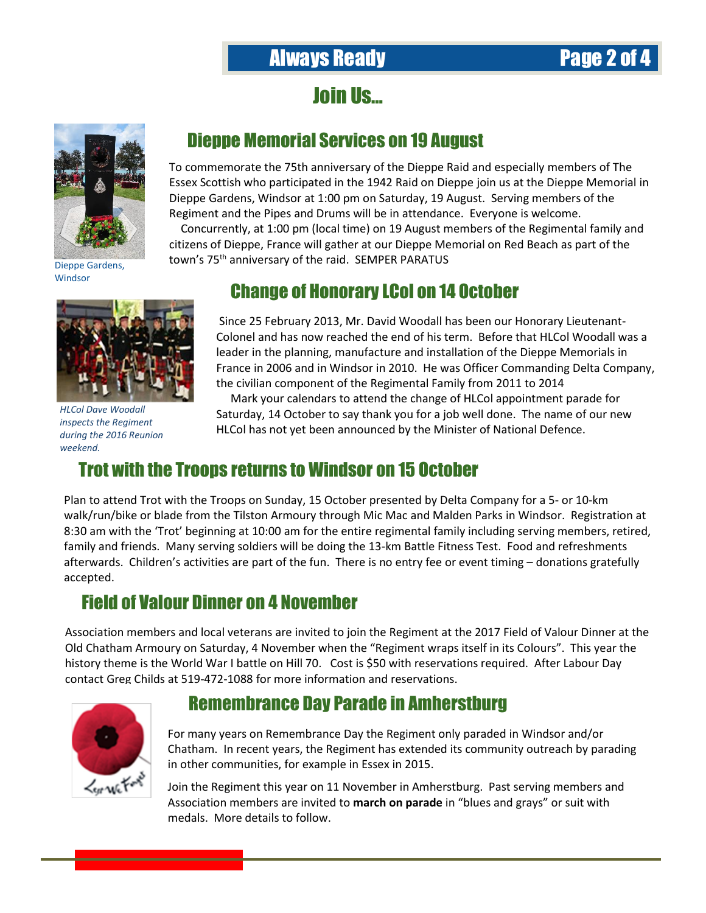# **Always Ready Page 2 of**

Join Us…



Dieppe Memorial Services on 19 August

To commemorate the 75th anniversary of the Dieppe Raid and especially members of The Essex Scottish who participated in the 1942 Raid on Dieppe join us at the Dieppe Memorial in Dieppe Gardens, Windsor at 1:00 pm on Saturday, 19 August. Serving members of the Regiment and the Pipes and Drums will be in attendance. Everyone is welcome.

 Concurrently, at 1:00 pm (local time) on 19 August members of the Regimental family and citizens of Dieppe, France will gather at our Dieppe Memorial on Red Beach as part of the town's 75<sup>th</sup> anniversary of the raid. SEMPER PARATUS

Dieppe Gardens, Windsor



*HLCol Dave Woodall inspects the Regiment during the 2016 Reunion weekend.*

# Change of Honorary LCol on 14 October

Since 25 February 2013, Mr. David Woodall has been our Honorary Lieutenant-Colonel and has now reached the end of his term. Before that HLCol Woodall was a leader in the planning, manufacture and installation of the Dieppe Memorials in France in 2006 and in Windsor in 2010. He was Officer Commanding Delta Company, the civilian component of the Regimental Family from 2011 to 2014

 Mark your calendars to attend the change of HLCol appointment parade for Saturday, 14 October to say thank you for a job well done. The name of our new HLCol has not yet been announced by the Minister of National Defence.

## Trot with the Troops returns to Windsor on 15 October

Plan to attend Trot with the Troops on Sunday, 15 October presented by Delta Company for a 5- or 10-km walk/run/bike or blade from the Tilston Armoury through Mic Mac and Malden Parks in Windsor. Registration at 8:30 am with the 'Trot' beginning at 10:00 am for the entire regimental family including serving members, retired, family and friends. Many serving soldiers will be doing the 13-km Battle Fitness Test. Food and refreshments afterwards. Children's activities are part of the fun. There is no entry fee or event timing – donations gratefully accepted.

## Field of Valour Dinner on 4 November

Association members and local veterans are invited to join the Regiment at the 2017 Field of Valour Dinner at the Old Chatham Armoury on Saturday, 4 November when the "Regiment wraps itself in its Colours". This year the history theme is the World War I battle on Hill 70. Cost is \$50 with reservations required. After Labour Day contact Greg Childs at 519-472-1088 for more information and reservations.



### Remembrance Day Parade in Amherstburg

For many years on Remembrance Day the Regiment only paraded in Windsor and/or Chatham. In recent years, the Regiment has extended its community outreach by parading in other communities, for example in Essex in 2015.

Join the Regiment this year on 11 November in Amherstburg. Past serving members and Association members are invited to **march on parade** in "blues and grays" or suit with medals. More details to follow.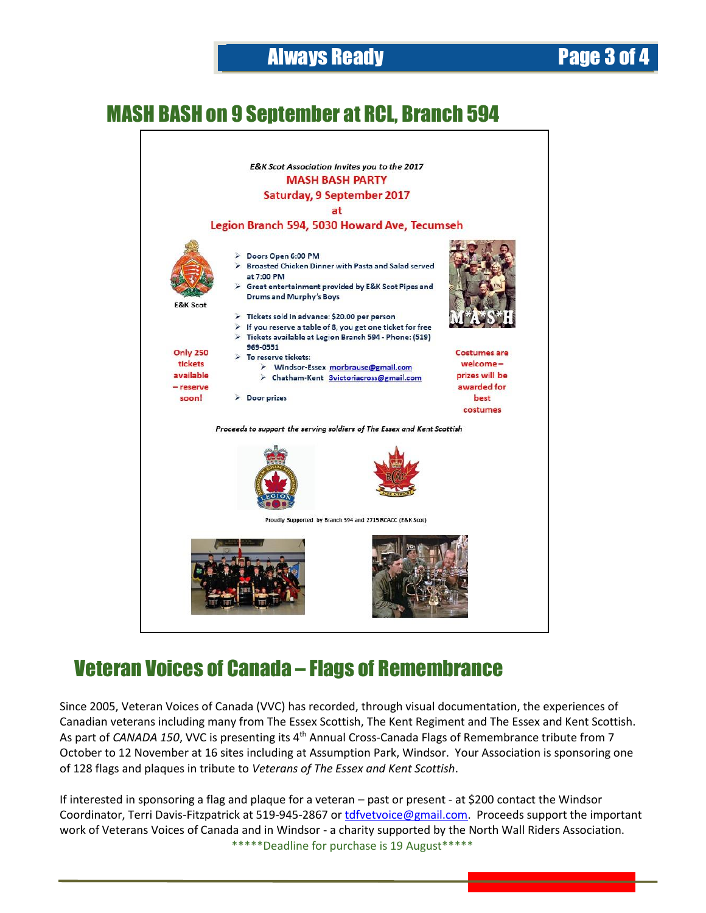# MASH BASH on 9 September at RCL, Branch 594



# Veteran Voices of Canada – Flags of Remembrance

Since 2005, Veteran Voices of Canada (VVC) has recorded, through visual documentation, the experiences of Canadian veterans including many from The Essex Scottish, The Kent Regiment and The Essex and Kent Scottish. As part of *CANADA 150*, VVC is presenting its 4th Annual Cross-Canada Flags of Remembrance tribute from 7 October to 12 November at 16 sites including at Assumption Park, Windsor. Your Association is sponsoring one of 128 flags and plaques in tribute to *Veterans of The Essex and Kent Scottish*.

If interested in sponsoring a flag and plaque for a veteran – past or present - at \$200 contact the Windsor Coordinator, Terri Davis-Fitzpatrick at 519-945-2867 or [tdfvetvoice@gmail.com.](mailto:tdfvetvoice@gmail.com) Proceeds support the important work of Veterans Voices of Canada and in Windsor - a charity supported by the North Wall Riders Association. \*\*\*\*\*Deadline for purchase is 19 August\*\*\*\*\*